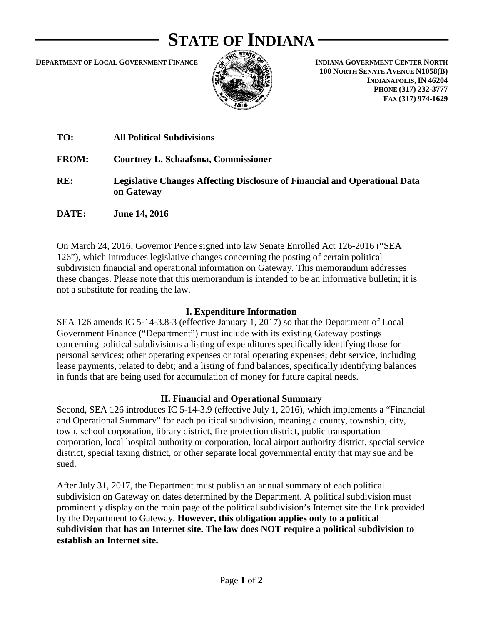# **STATE OF INDIANA**

**DEPARTMENT OF LOCAL GOVERNMENT FINANCE**



**INDIANA GOVERNMENT CENTER NORTH 100 NORTH SENATE AVENUE N1058(B) INDIANAPOLIS, IN 46204 PHONE (317) 232-3777 FAX (317) 974-1629**

| TO:          | <b>All Political Subdivisions</b>                                                               |
|--------------|-------------------------------------------------------------------------------------------------|
| <b>FROM:</b> | Courtney L. Schaafsma, Commissioner                                                             |
| RE:          | <b>Legislative Changes Affecting Disclosure of Financial and Operational Data</b><br>on Gateway |
| DATE:        | <b>June 14, 2016</b>                                                                            |

On March 24, 2016, Governor Pence signed into law Senate Enrolled Act 126-2016 ("SEA 126"), which introduces legislative changes concerning the posting of certain political subdivision financial and operational information on Gateway. This memorandum addresses these changes. Please note that this memorandum is intended to be an informative bulletin; it is not a substitute for reading the law.

#### **I. Expenditure Information**

SEA 126 amends IC 5-14-3.8-3 (effective January 1, 2017) so that the Department of Local Government Finance ("Department") must include with its existing Gateway postings concerning political subdivisions a listing of expenditures specifically identifying those for personal services; other operating expenses or total operating expenses; debt service, including lease payments, related to debt; and a listing of fund balances, specifically identifying balances in funds that are being used for accumulation of money for future capital needs.

### **II. Financial and Operational Summary**

Second, SEA 126 introduces IC 5-14-3.9 (effective July 1, 2016), which implements a "Financial and Operational Summary" for each political subdivision, meaning a county, township, city, town, school corporation, library district, fire protection district, public transportation corporation, local hospital authority or corporation, local airport authority district, special service district, special taxing district, or other separate local governmental entity that may sue and be sued.

After July 31, 2017, the Department must publish an annual summary of each political subdivision on Gateway on dates determined by the Department. A political subdivision must prominently display on the main page of the political subdivision's Internet site the link provided by the Department to Gateway. **However, this obligation applies only to a political subdivision that has an Internet site. The law does NOT require a political subdivision to establish an Internet site.**